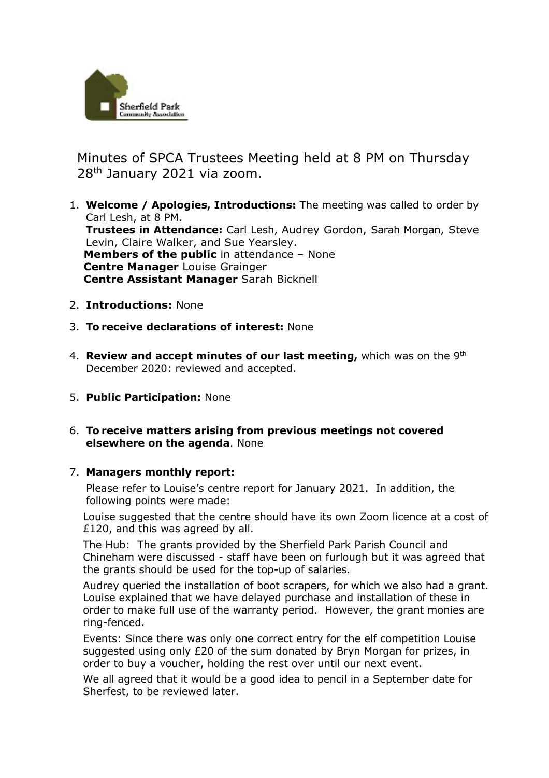

 Minutes of SPCA Trustees Meeting held at 8 PM on Thursday 28th January 2021 via zoom.

- 1. **Welcome / Apologies, Introductions:** The meeting was called to order by Carl Lesh, at 8 PM. **Trustees in Attendance:** Carl Lesh, Audrey Gordon, Sarah Morgan, Steve Levin, Claire Walker, and Sue Yearsley. **Members of the public** in attendance – None  **Centre Manager** Louise Grainger  **Centre Assistant Manager** Sarah Bicknell
- 2. **Introductions:** None
- 3. **To receive declarations of interest:** None
- 4. **Review and accept minutes of our last meeting,** which was on the 9th December 2020: reviewed and accepted.
- 5. **Public Participation:** None
- 6. **To receive matters arising from previous meetings not covered elsewhere on the agenda**. None

## 7. **Managers monthly report:**

Please refer to Louise's centre report for January 2021. In addition, the following points were made:

Louise suggested that the centre should have its own Zoom licence at a cost of £120, and this was agreed by all.

The Hub: The grants provided by the Sherfield Park Parish Council and Chineham were discussed - staff have been on furlough but it was agreed that the grants should be used for the top-up of salaries.

Audrey queried the installation of boot scrapers, for which we also had a grant. Louise explained that we have delayed purchase and installation of these in order to make full use of the warranty period. However, the grant monies are ring-fenced.

Events: Since there was only one correct entry for the elf competition Louise suggested using only £20 of the sum donated by Bryn Morgan for prizes, in order to buy a voucher, holding the rest over until our next event.

We all agreed that it would be a good idea to pencil in a September date for Sherfest, to be reviewed later.